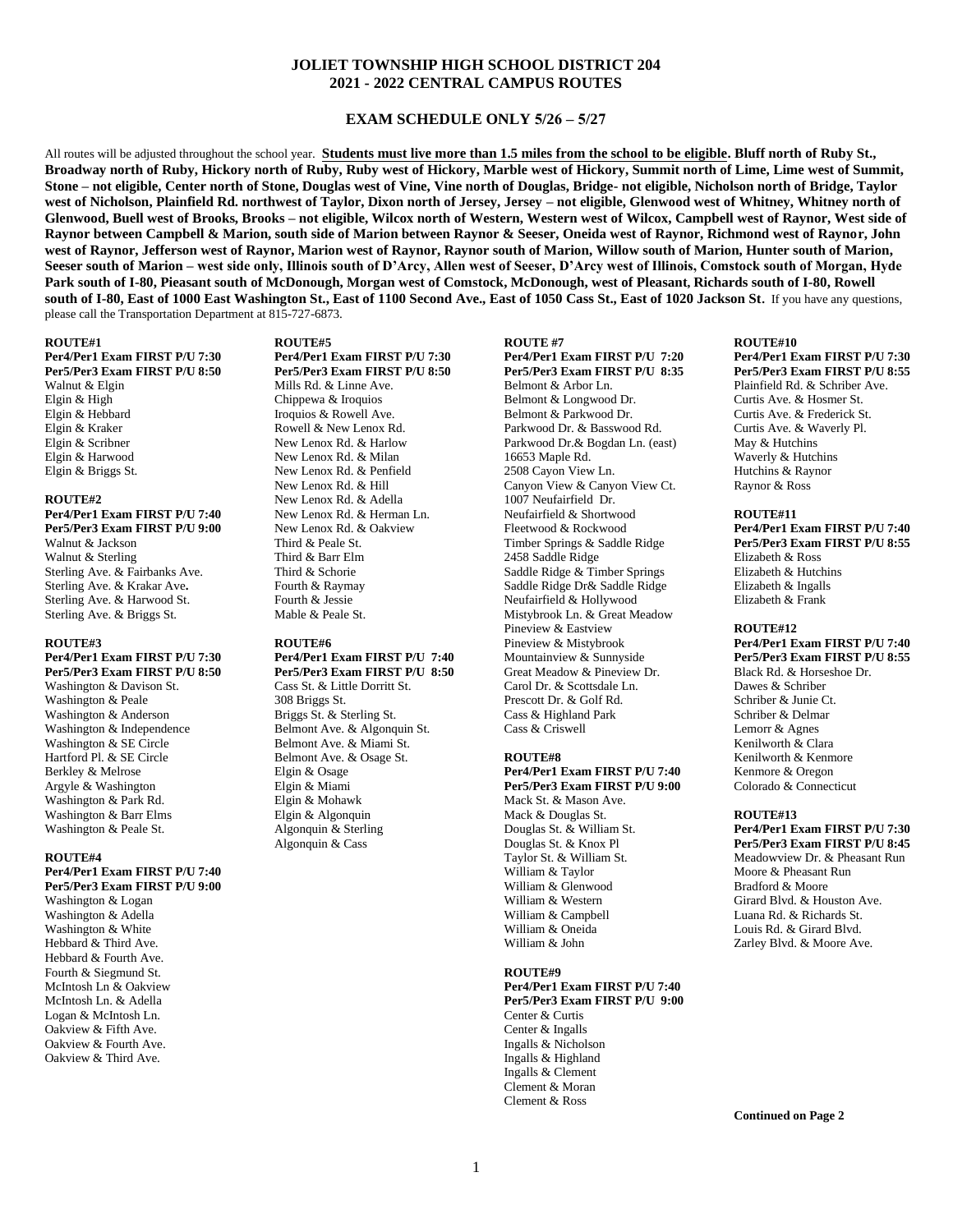## **JOLIET TOWNSHIP HIGH SCHOOL DISTRICT 204 2021 - 2022 CENTRAL CAMPUS ROUTES**

## **EXAM SCHEDULE ONLY 5/26 – 5/27**

All routes will be adjusted throughout the school year. **Students must live more than 1.5 miles from the school to be eligible. Bluff north of Ruby St.**, **Broadway north of Ruby, Hickory north of Ruby, Ruby west of Hickory, Marble west of Hickory, Summit north of Lime, Lime west of Summit, Stone – not eligible, Center north of Stone, Douglas west of Vine, Vine north of Douglas, Bridge- not eligible, Nicholson north of Bridge, Taylor west of Nicholson, Plainfield Rd. northwest of Taylor, Dixon north of Jersey, Jersey – not eligible, Glenwood west of Whitney, Whitney north of Glenwood, Buell west of Brooks, Brooks – not eligible, Wilcox north of Western, Western west of Wilcox, Campbell west of Raynor, West side of Raynor between Campbell & Marion, south side of Marion between Raynor & Seeser, Oneida west of Raynor, Richmond west of Raynor, John west of Raynor, Jefferson west of Raynor, Marion west of Raynor, Raynor south of Marion, Willow south of Marion, Hunter south of Marion, Seeser south of Marion – west side only, Illinois south of D'Arcy, Allen west of Seeser, D'Arcy west of Illinois, Comstock south of Morgan, Hyde Park south of I-80, Pieasant south of McDonough, Morgan west of Comstock, McDonough, west of Pleasant, Richards south of I-80, Rowell south of I-80, East of 1000 East Washington St., East of 1100 Second Ave., East of 1050 Cass St., East of 1020 Jackson St.** If you have any questions, please call the Transportation Department at 815-727-6873.

#### **ROUTE#1**

**Per4/Per1 Exam FIRST P/U 7:30 Per5/Per3 Exam FIRST P/U 8:50** Walnut & Elgin Elgin & High Elgin & Hebbard Elgin & Kraker Elgin & Scribner Elgin & Harwood Elgin & Briggs St.

#### **ROUTE#2**

**Per4/Per1 Exam FIRST P/U 7:40 Per5/Per3 Exam FIRST P/U 9:00** Walnut & Jackson Walnut & Sterling Sterling Ave. & Fairbanks Ave. Sterling Ave. & Krakar Ave**.** Sterling Ave. & Harwood St. Sterling Ave. & Briggs St.

## **ROUTE#3**

**Per4/Per1 Exam FIRST P/U 7:30 Per5/Per3 Exam FIRST P/U 8:50**

Washington & Davison St. Washington & Peale Washington & Anderson Washington & Independence Washington & SE Circle Hartford Pl. & SE Circle Berkley & Melrose Argyle & Washington Washington & Park Rd. Washington & Barr Elms Washington & Peale St.

### **ROUTE#4**

**Per4/Per1 Exam FIRST P/U 7:40 Per5/Per3 Exam FIRST P/U 9:00**

Washington & Logan Washington & Adella Washington & White Hebbard & Third Ave. Hebbard & Fourth Ave. Fourth & Siegmund St. McIntosh Ln & Oakview McIntosh Ln. & Adella Logan & McIntosh Ln. Oakview & Fifth Ave. Oakview & Fourth Ave. Oakview & Third Ave.

### **ROUTE#5**

**Per4/Per1 Exam FIRST P/U 7:30 Per5/Per3 Exam FIRST P/U 8:50** Mills Rd. & Linne Ave. Chippewa & Iroquios Iroquios & Rowell Ave. Rowell & New Lenox Rd. New Lenox Rd. & Harlow New Lenox Rd. & Milan New Lenox Rd. & Penfield New Lenox Rd. & Hill New Lenox Rd. & Adella New Lenox Rd. & Herman Ln. New Lenox Rd. & Oakview Third & Peale St. Third & Barr Elm Third & Schorie Fourth & Raymay Fourth & Jessie Mable & Peale St.

# **ROUTE#6**

## **Per4/Per1 Exam FIRST P/U 7:40 Per5/Per3 Exam FIRST P/U 8:50** Cass St. & Little Dorritt St.

308 Briggs St. Briggs St. & Sterling St. Belmont Ave. & Algonquin St. Belmont Ave. & Miami St. Belmont Ave. & Osage St. Elgin & Osage Elgin & Miami Elgin & Mohawk Elgin & Algonquin Algonquin & Sterling Algonquin & Cass

**ROUTE #7 Per4/Per1 Exam FIRST P/U 7:20 Per5/Per3 Exam FIRST P/U 8:35** Belmont & Arbor Ln. Belmont & Longwood Dr. Belmont & Parkwood Dr. Parkwood Dr. & Basswood Rd. Parkwood Dr.& Bogdan Ln. (east) 16653 Maple Rd. 2508 Cayon View Ln. Canyon View & Canyon View Ct. 1007 Neufairfield Dr. Neufairfield & Shortwood Fleetwood & Rockwood Timber Springs & Saddle Ridge 2458 Saddle Ridge Saddle Ridge & Timber Springs Saddle Ridge Dr& Saddle Ridge Neufairfield & Hollywood Mistybrook Ln. & Great Meadow Pineview & Eastview Pineview & Mistybrook Mountainview & Sunnyside Great Meadow & Pineview Dr. Carol Dr. & Scottsdale Ln. Prescott Dr. & Golf Rd. Cass & Highland Park Cass & Criswell

#### **ROUTE#8**

**Per4/Per1 Exam FIRST P/U 7:40 Per5/Per3 Exam FIRST P/U 9:00** Mack St. & Mason Ave. Mack & Douglas St. Douglas St. & William St. Douglas St. & Knox Pl Taylor St. & William St. William & Taylor William & Glenwood William & Western William & Campbell William & Oneida William & John

### **ROUTE#9**

**Per4/Per1 Exam FIRST P/U 7:40 Per5/Per3 Exam FIRST P/U 9:00** Center & Curtis Center & Ingalls Ingalls & Nicholson Ingalls & Highland Ingalls & Clement Clement & Moran Clement & Ross

### **ROUTE#10**

**Per4/Per1 Exam FIRST P/U 7:30 Per5/Per3 Exam FIRST P/U 8:55** Plainfield Rd. & Schriber Ave. Curtis Ave. & Hosmer St. Curtis Ave. & Frederick St. Curtis Ave. & Waverly Pl. May & Hutchins Waverly & Hutchins Hutchins & Raynor Raynor & Ross

## **ROUTE#11**

**Per4/Per1 Exam FIRST P/U 7:40 Per5/Per3 Exam FIRST P/U 8:55** Elizabeth & Ross Elizabeth & Hutchins Elizabeth & Ingalls Elizabeth & Frank

#### **ROUTE#12**

**Per4/Per1 Exam FIRST P/U 7:40 Per5/Per3 Exam FIRST P/U 8:55** Black Rd. & Horseshoe Dr. Dawes & Schriber Schriber & Junie Ct. Schriber & Delmar Lemorr & Agnes Kenilworth & Clara Kenilworth & Kenmore Kenmore & Oregon Colorado & Connecticut

## **ROUTE#13**

**Per4/Per1 Exam FIRST P/U 7:30 Per5/Per3 Exam FIRST P/U 8:45** Meadowview Dr. & Pheasant Run Moore & Pheasant Run Bradford & Moore Girard Blvd. & Houston Ave. Luana Rd. & Richards St. Louis Rd. & Girard Blvd. Zarley Blvd. & Moore Ave.

**Continued on Page 2**